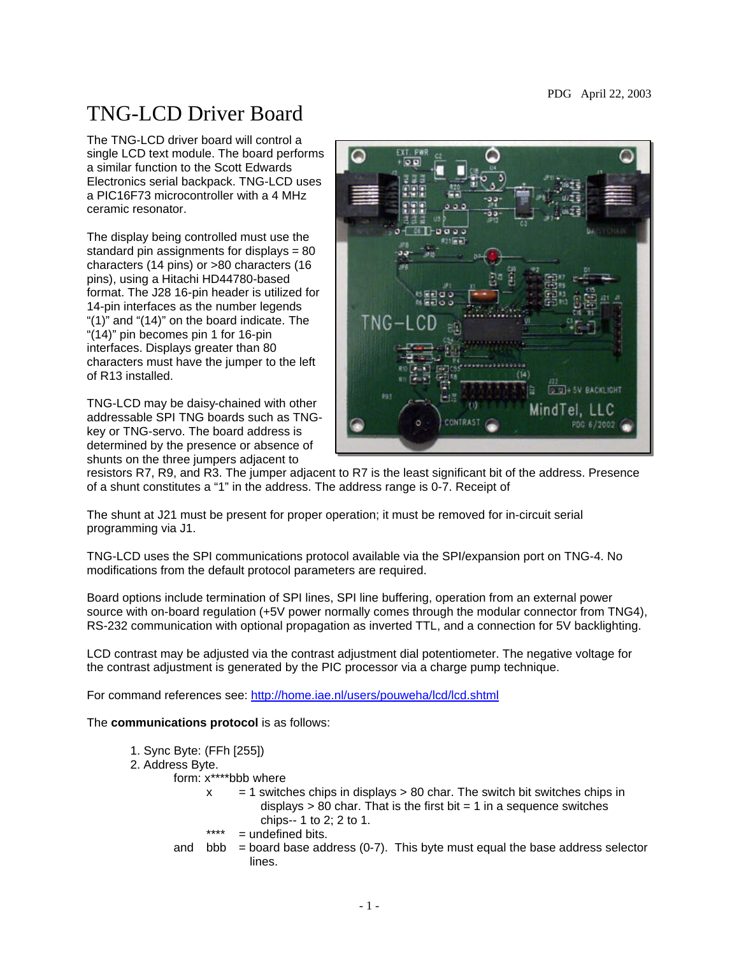## TNG-LCD Driver Board

The TNG-LCD driver board will control a single LCD text module. The board performs a similar function to the Scott Edwards Electronics serial backpack. TNG-LCD uses a PIC16F73 microcontroller with a 4 MHz ceramic resonator.

The display being controlled must use the standard pin assignments for displays = 80 characters (14 pins) or >80 characters (16 pins), using a Hitachi HD44780-based format. The J28 16-pin header is utilized for 14-pin interfaces as the number legends "(1)" and "(14)" on the board indicate. The "(14)" pin becomes pin 1 for 16-pin interfaces. Displays greater than 80 characters must have the jumper to the left of R13 installed.

TNG-LCD may be daisy-chained with other addressable SPI TNG boards such as TNGkey or TNG-servo. The board address is determined by the presence or absence of shunts on the three jumpers adjacent to



resistors R7, R9, and R3. The jumper adjacent to R7 is the least significant bit of the address. Presence of a shunt constitutes a "1" in the address. The address range is 0-7. Receipt of

The shunt at J21 must be present for proper operation; it must be removed for in-circuit serial programming via J1.

TNG-LCD uses the SPI communications protocol available via the SPI/expansion port on TNG-4. No modifications from the default protocol parameters are required.

Board options include termination of SPI lines, SPI line buffering, operation from an external power source with on-board regulation (+5V power normally comes through the modular connector from TNG4), RS-232 communication with optional propagation as inverted TTL, and a connection for 5V backlighting.

LCD contrast may be adjusted via the contrast adjustment dial potentiometer. The negative voltage for the contrast adjustment is generated by the PIC processor via a charge pump technique.

For command references see: http://home.iae.nl/users/pouweha/lcd/lcd.shtml

The **communications protocol** is as follows:

 $2.$ 

| 1. Sync Byte: (FFh [255]) |      |                                                                                                                                                                                     |
|---------------------------|------|-------------------------------------------------------------------------------------------------------------------------------------------------------------------------------------|
| 2. Address Byte.          |      |                                                                                                                                                                                     |
|                           |      | form: x****bbb where                                                                                                                                                                |
|                           | X    | $=$ 1 switches chips in displays $>$ 80 char. The switch bit switches chips in<br>displays $> 80$ char. That is the first bit = 1 in a sequence switches<br>chips-- 1 to 2; 2 to 1. |
|                           | **** | $=$ undefined bits.                                                                                                                                                                 |
| and                       | bbb. | $=$ board base address (0-7). This byte must equal the base address selector<br>lines.                                                                                              |